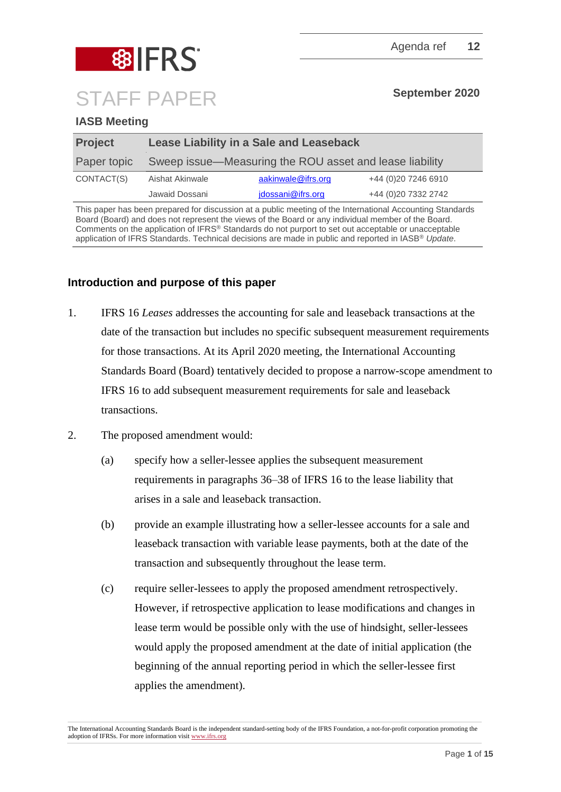

# **IASB Meeting**

| <b>Project</b> | Lease Liability in a Sale and Leaseback                 |                    |                      |
|----------------|---------------------------------------------------------|--------------------|----------------------|
| Paper topic    | Sweep issue—Measuring the ROU asset and lease liability |                    |                      |
| CONTACT(S)     | Aishat Akinwale                                         | aakinwale@ifrs.org | +44 (0)20 7246 6910  |
|                | Jawaid Dossani                                          | jdossani@ifrs.org  | +44 (0) 20 7332 2742 |

This paper has been prepared for discussion at a public meeting of the International Accounting Standards Board (Board) and does not represent the views of the Board or any individual member of the Board. Comments on the application of IFRS® Standards do not purport to set out acceptable or unacceptable application of IFRS Standards. Technical decisions are made in public and reported in IASB® *Update*.

## **Introduction and purpose of this paper**

- 1. IFRS 16 *Leases* addresses the accounting for sale and leaseback transactions at the date of the transaction but includes no specific subsequent measurement requirements for those transactions. At its April 2020 meeting, the International Accounting Standards Board (Board) tentatively decided to propose a narrow-scope amendment to IFRS 16 to add subsequent measurement requirements for sale and leaseback transactions.
- <span id="page-0-0"></span>2. The proposed amendment would:
	- (a) specify how a seller-lessee applies the subsequent measurement requirements in paragraphs 36–38 of IFRS 16 to the lease liability that arises in a sale and leaseback transaction.
	- (b) provide an example illustrating how a seller-lessee accounts for a sale and leaseback transaction with variable lease payments, both at the date of the transaction and subsequently throughout the lease term.
	- (c) require seller-lessees to apply the proposed amendment retrospectively. However, if retrospective application to lease modifications and changes in lease term would be possible only with the use of hindsight, seller-lessees would apply the proposed amendment at the date of initial application (the beginning of the annual reporting period in which the seller-lessee first applies the amendment).

The International Accounting Standards Board is the independent standard-setting body of the IFRS Foundation, a not-for-profit corporation promoting the adoption of IFRSs. For more information visi[t www.ifrs.org](http://www.ifrs.org/)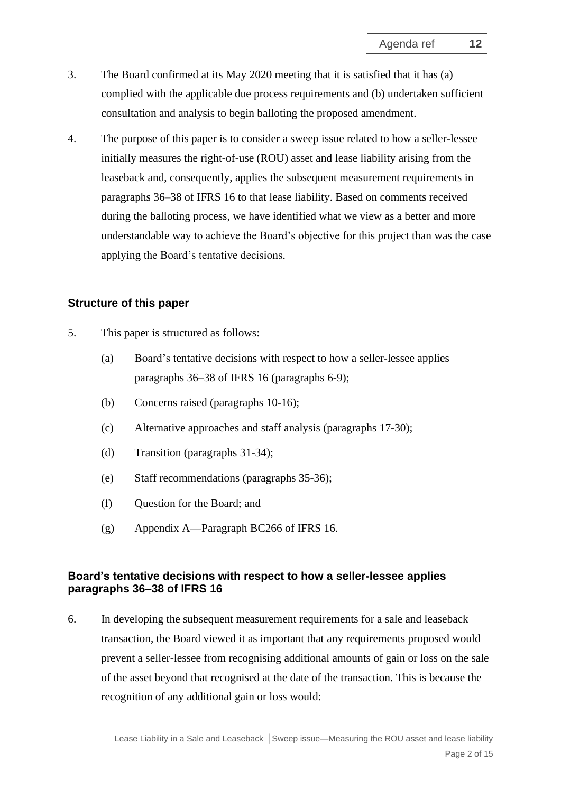- 3. The Board confirmed at its May 2020 meeting that it is satisfied that it has (a) complied with the applicable due process requirements and (b) undertaken sufficient consultation and analysis to begin balloting the proposed amendment.
- 4. The purpose of this paper is to consider a sweep issue related to how a seller-lessee initially measures the right-of-use (ROU) asset and lease liability arising from the leaseback and, consequently, applies the subsequent measurement requirements in paragraphs 36–38 of IFRS 16 to that lease liability. Based on comments received during the balloting process, we have identified what we view as a better and more understandable way to achieve the Board's objective for this project than was the case applying the Board's tentative decisions.

#### **Structure of this paper**

- 5. This paper is structured as follows:
	- (a) Board's tentative decisions with respect to how a seller-lessee applies paragraphs 36–38 of IFRS 16 (paragraphs [6](#page-1-0)[-9\)](#page-2-0);
	- (b) Concerns raised (paragraphs [10](#page-3-0)[-16\)](#page-5-0);
	- (c) Alternative approaches and staff analysis (paragraphs [17-](#page-6-0)[30\)](#page-11-0);
	- (d) Transition (paragraphs [31-](#page-11-1)[34\)](#page-12-0);
	- (e) Staff recommendations (paragraphs [35](#page-12-1)[-36\)](#page-13-0);
	- (f) Question for the Board; and
	- (g) Appendix A—Paragraph BC266 of IFRS 16.

## **Board's tentative decisions with respect to how a seller-lessee applies paragraphs 36–38 of IFRS 16**

<span id="page-1-0"></span>6. In developing the subsequent measurement requirements for a sale and leaseback transaction, the Board viewed it as important that any requirements proposed would prevent a seller-lessee from recognising additional amounts of gain or loss on the sale of the asset beyond that recognised at the date of the transaction. This is because the recognition of any additional gain or loss would: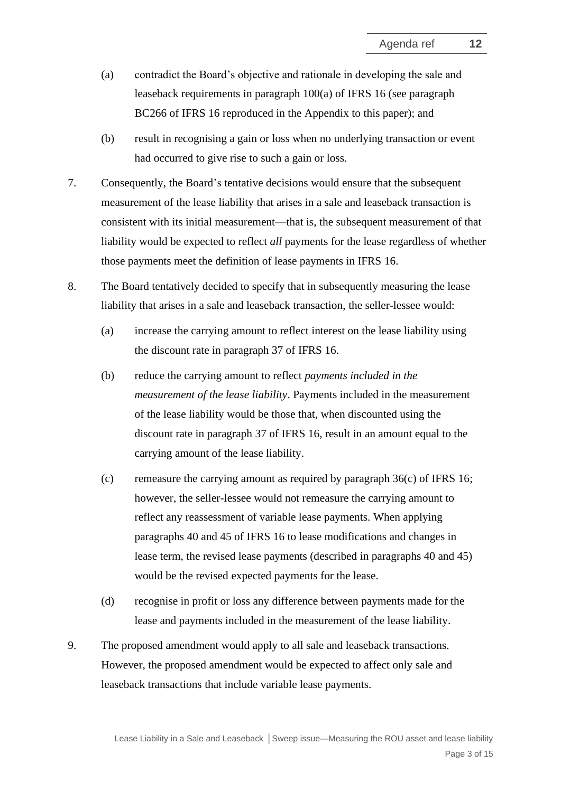- (a) contradict the Board's objective and rationale in developing the sale and leaseback requirements in paragraph 100(a) of IFRS 16 (see paragraph BC266 of IFRS 16 reproduced in the Appendix to this paper); and
- (b) result in recognising a gain or loss when no underlying transaction or event had occurred to give rise to such a gain or loss.
- <span id="page-2-1"></span>7. Consequently, the Board's tentative decisions would ensure that the subsequent measurement of the lease liability that arises in a sale and leaseback transaction is consistent with its initial measurement—that is, the subsequent measurement of that liability would be expected to reflect *all* payments for the lease regardless of whether those payments meet the definition of lease payments in IFRS 16.
- <span id="page-2-2"></span>8. The Board tentatively decided to specify that in subsequently measuring the lease liability that arises in a sale and leaseback transaction, the seller-lessee would:
	- (a) increase the carrying amount to reflect interest on the lease liability using the discount rate in paragraph 37 of IFRS 16.
	- (b) reduce the carrying amount to reflect *payments included in the measurement of the lease liability*. Payments included in the measurement of the lease liability would be those that, when discounted using the discount rate in paragraph 37 of IFRS 16, result in an amount equal to the carrying amount of the lease liability.
	- (c) remeasure the carrying amount as required by paragraph  $36(c)$  of IFRS 16; however, the seller-lessee would not remeasure the carrying amount to reflect any reassessment of variable lease payments. When applying paragraphs 40 and 45 of IFRS 16 to lease modifications and changes in lease term, the revised lease payments (described in paragraphs 40 and 45) would be the revised expected payments for the lease.
	- (d) recognise in profit or loss any difference between payments made for the lease and payments included in the measurement of the lease liability.
- <span id="page-2-4"></span><span id="page-2-3"></span><span id="page-2-0"></span>9. The proposed amendment would apply to all sale and leaseback transactions. However, the proposed amendment would be expected to affect only sale and leaseback transactions that include variable lease payments.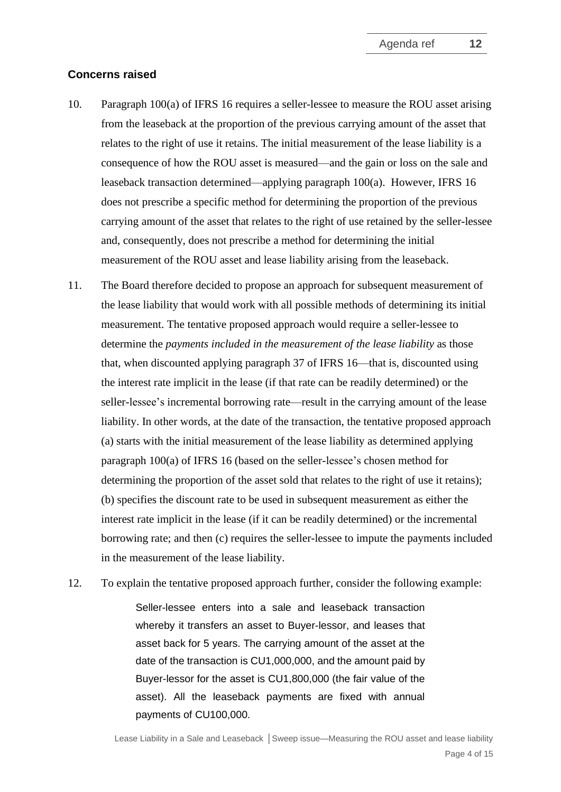#### **Concerns raised**

- <span id="page-3-0"></span>10. Paragraph 100(a) of IFRS 16 requires a seller-lessee to measure the ROU asset arising from the leaseback at the proportion of the previous carrying amount of the asset that relates to the right of use it retains. The initial measurement of the lease liability is a consequence of how the ROU asset is measured—and the gain or loss on the sale and leaseback transaction determined—applying paragraph 100(a). However, IFRS 16 does not prescribe a specific method for determining the proportion of the previous carrying amount of the asset that relates to the right of use retained by the seller-lessee and, consequently, does not prescribe a method for determining the initial measurement of the ROU asset and lease liability arising from the leaseback.
- 11. The Board therefore decided to propose an approach for subsequent measurement of the lease liability that would work with all possible methods of determining its initial measurement. The tentative proposed approach would require a seller-lessee to determine the *payments included in the measurement of the lease liability* as those that, when discounted applying paragraph 37 of IFRS 16—that is, discounted using the interest rate implicit in the lease (if that rate can be readily determined) or the seller-lessee's incremental borrowing rate—result in the carrying amount of the lease liability. In other words, at the date of the transaction, the tentative proposed approach (a) starts with the initial measurement of the lease liability as determined applying paragraph 100(a) of IFRS 16 (based on the seller-lessee's chosen method for determining the proportion of the asset sold that relates to the right of use it retains); (b) specifies the discount rate to be used in subsequent measurement as either the interest rate implicit in the lease (if it can be readily determined) or the incremental borrowing rate; and then (c) requires the seller-lessee to impute the payments included in the measurement of the lease liability.
- <span id="page-3-1"></span>12. To explain the tentative proposed approach further, consider the following example:

Seller-lessee enters into a sale and leaseback transaction whereby it transfers an asset to Buyer-lessor, and leases that asset back for 5 years. The carrying amount of the asset at the date of the transaction is CU1,000,000, and the amount paid by Buyer-lessor for the asset is CU1,800,000 (the fair value of the asset). All the leaseback payments are fixed with annual payments of CU100,000.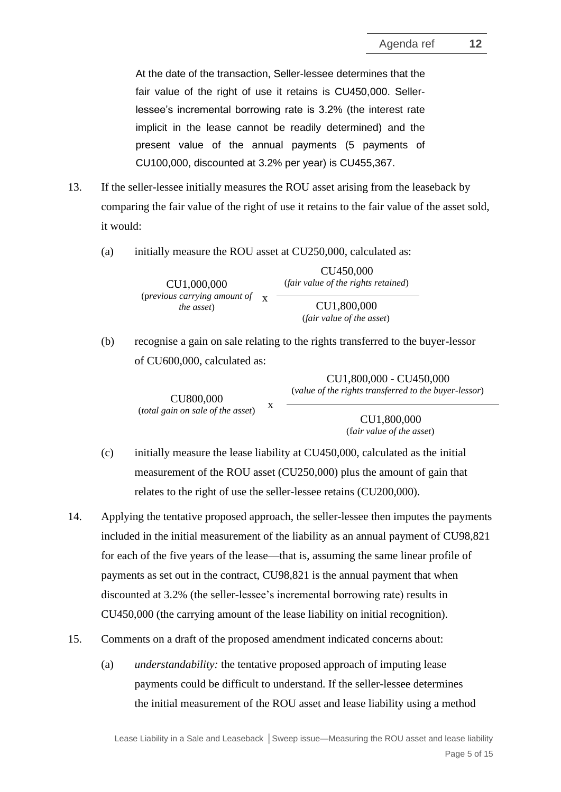At the date of the transaction, Seller-lessee determines that the fair value of the right of use it retains is CU450,000. Sellerlessee's incremental borrowing rate is 3.2% (the interest rate implicit in the lease cannot be readily determined) and the present value of the annual payments (5 payments of CU100,000, discounted at 3.2% per year) is CU455,367.

- <span id="page-4-2"></span>13. If the seller-lessee initially measures the ROU asset arising from the leaseback by comparing the fair value of the right of use it retains to the fair value of the asset sold, it would:
	- (a) initially measure the ROU asset at CU250,000, calculated as:

CU1,000,000 (p*revious carrying amount of*  x *the asset*)

(*fair value of the rights retained*) CU1,800,000

CU450,000

(*fair value of the asset*)

(b) recognise a gain on sale relating to the rights transferred to the buyer-lessor of CU600,000, calculated as:

> CU800,000 (*total gain on sale of the asset*) x

CU1,800,000 (f*air value of the asset*)

CU1,800,000 - CU450,000 (*value of the rights transferred to the buyer-lessor*)

- (c) initially measure the lease liability at CU450,000, calculated as the initial measurement of the ROU asset (CU250,000) plus the amount of gain that relates to the right of use the seller-lessee retains (CU200,000).
- <span id="page-4-0"></span>14. Applying the tentative proposed approach, the seller-lessee then imputes the payments included in the initial measurement of the liability as an annual payment of CU98,821 for each of the five years of the lease—that is, assuming the same linear profile of payments as set out in the contract, CU98,821 is the annual payment that when discounted at 3.2% (the seller-lessee's incremental borrowing rate) results in CU450,000 (the carrying amount of the lease liability on initial recognition).
- <span id="page-4-1"></span>15. Comments on a draft of the proposed amendment indicated concerns about:
	- (a) *understandability:* the tentative proposed approach of imputing lease payments could be difficult to understand. If the seller-lessee determines the initial measurement of the ROU asset and lease liability using a method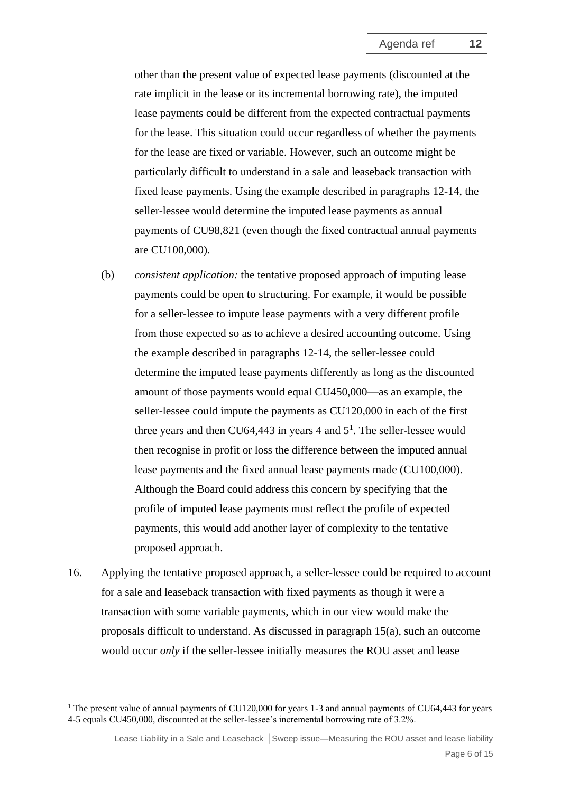other than the present value of expected lease payments (discounted at the rate implicit in the lease or its incremental borrowing rate), the imputed lease payments could be different from the expected contractual payments for the lease. This situation could occur regardless of whether the payments for the lease are fixed or variable. However, such an outcome might be particularly difficult to understand in a sale and leaseback transaction with fixed lease payments. Using the example described in paragraphs [12](#page-3-1)[-14,](#page-4-0) the seller-lessee would determine the imputed lease payments as annual payments of CU98,821 (even though the fixed contractual annual payments are CU100,000).

- <span id="page-5-1"></span>(b) *consistent application:* the tentative proposed approach of imputing lease payments could be open to structuring. For example, it would be possible for a seller-lessee to impute lease payments with a very different profile from those expected so as to achieve a desired accounting outcome. Using the example described in paragraphs [12](#page-3-1)[-14,](#page-4-0) the seller-lessee could determine the imputed lease payments differently as long as the discounted amount of those payments would equal CU450,000—as an example, the seller-lessee could impute the payments as CU120,000 in each of the first three years and then CU64,443 in years 4 and  $5<sup>1</sup>$ . The seller-lessee would then recognise in profit or loss the difference between the imputed annual lease payments and the fixed annual lease payments made (CU100,000). Although the Board could address this concern by specifying that the profile of imputed lease payments must reflect the profile of expected payments, this would add another layer of complexity to the tentative proposed approach.
- <span id="page-5-0"></span>16. Applying the tentative proposed approach, a seller-lessee could be required to account for a sale and leaseback transaction with fixed payments as though it were a transaction with some variable payments, which in our view would make the proposals difficult to understand. As discussed in paragraph [15\(a\),](#page-4-1) such an outcome would occur *only* if the seller-lessee initially measures the ROU asset and lease

<sup>&</sup>lt;sup>1</sup> The present value of annual payments of CU120,000 for years 1-3 and annual payments of CU64,443 for years 4-5 equals CU450,000, discounted at the seller-lessee's incremental borrowing rate of 3.2%.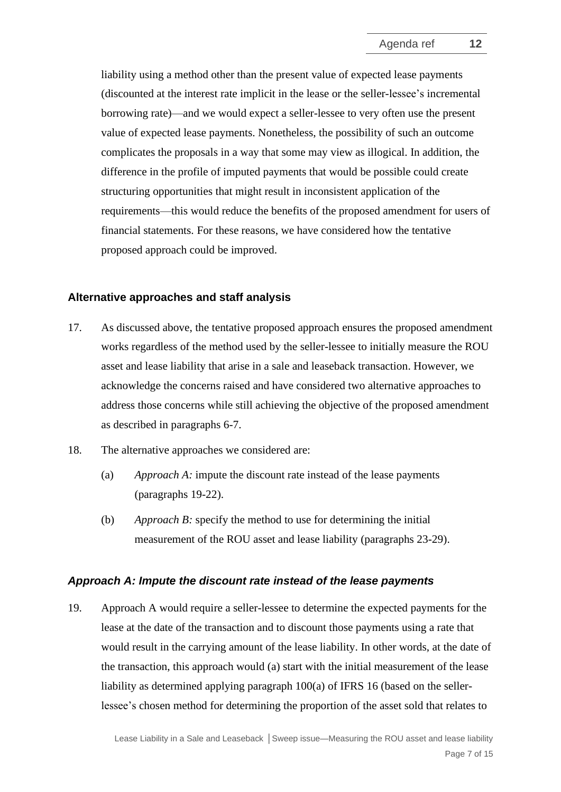liability using a method other than the present value of expected lease payments (discounted at the interest rate implicit in the lease or the seller-lessee's incremental borrowing rate)—and we would expect a seller-lessee to very often use the present value of expected lease payments. Nonetheless, the possibility of such an outcome complicates the proposals in a way that some may view as illogical. In addition, the difference in the profile of imputed payments that would be possible could create structuring opportunities that might result in inconsistent application of the requirements—this would reduce the benefits of the proposed amendment for users of financial statements. For these reasons, we have considered how the tentative proposed approach could be improved.

## **Alternative approaches and staff analysis**

- <span id="page-6-0"></span>17. As discussed above, the tentative proposed approach ensures the proposed amendment works regardless of the method used by the seller-lessee to initially measure the ROU asset and lease liability that arise in a sale and leaseback transaction. However, we acknowledge the concerns raised and have considered two alternative approaches to address those concerns while still achieving the objective of the proposed amendment as described in paragraphs [6-](#page-1-0)[7.](#page-2-1)
- 18. The alternative approaches we considered are:
	- (a) *Approach A:* impute the discount rate instead of the lease payments (paragraphs [19-](#page-6-1)[22\)](#page-7-0).
	- (b) *Approach B:* specify the method to use for determining the initial measurement of the ROU asset and lease liability (paragraphs [23](#page-8-0)[-29\)](#page-11-2).

#### *Approach A: Impute the discount rate instead of the lease payments*

<span id="page-6-1"></span>19. Approach A would require a seller-lessee to determine the expected payments for the lease at the date of the transaction and to discount those payments using a rate that would result in the carrying amount of the lease liability. In other words, at the date of the transaction, this approach would (a) start with the initial measurement of the lease liability as determined applying paragraph 100(a) of IFRS 16 (based on the sellerlessee's chosen method for determining the proportion of the asset sold that relates to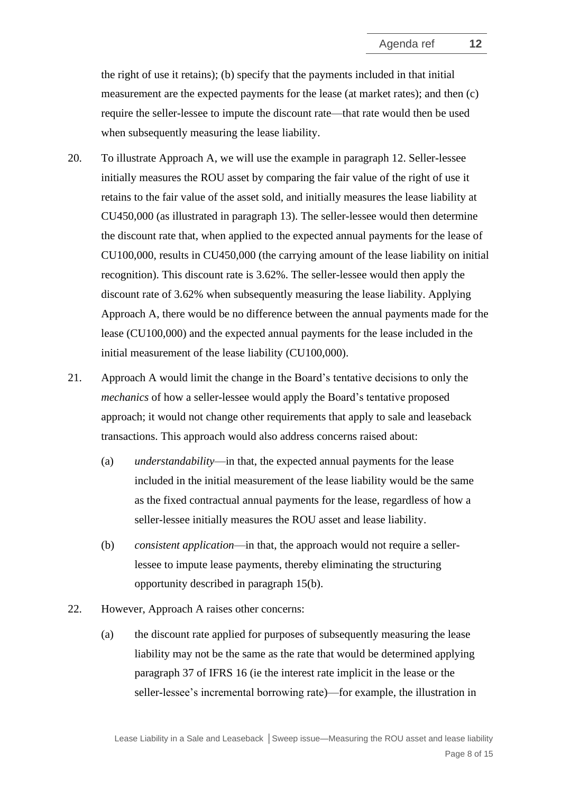the right of use it retains); (b) specify that the payments included in that initial measurement are the expected payments for the lease (at market rates); and then (c) require the seller-lessee to impute the discount rate—that rate would then be used when subsequently measuring the lease liability.

- <span id="page-7-1"></span>20. To illustrate Approach A, we will use the example in paragraph [12.](#page-3-1) Seller-lessee initially measures the ROU asset by comparing the fair value of the right of use it retains to the fair value of the asset sold, and initially measures the lease liability at CU450,000 (as illustrated in paragraph [13\)](#page-4-2). The seller-lessee would then determine the discount rate that, when applied to the expected annual payments for the lease of CU100,000, results in CU450,000 (the carrying amount of the lease liability on initial recognition). This discount rate is 3.62%. The seller-lessee would then apply the discount rate of 3.62% when subsequently measuring the lease liability. Applying Approach A, there would be no difference between the annual payments made for the lease (CU100,000) and the expected annual payments for the lease included in the initial measurement of the lease liability (CU100,000).
- 21. Approach A would limit the change in the Board's tentative decisions to only the *mechanics* of how a seller-lessee would apply the Board's tentative proposed approach; it would not change other requirements that apply to sale and leaseback transactions. This approach would also address concerns raised about:
	- (a) *understandability*—in that, the expected annual payments for the lease included in the initial measurement of the lease liability would be the same as the fixed contractual annual payments for the lease, regardless of how a seller-lessee initially measures the ROU asset and lease liability.
	- (b) *consistent application*—in that, the approach would not require a sellerlessee to impute lease payments, thereby eliminating the structuring opportunity described in paragraph [15\(b\).](#page-5-1)
- <span id="page-7-0"></span>22. However, Approach A raises other concerns:
	- (a) the discount rate applied for purposes of subsequently measuring the lease liability may not be the same as the rate that would be determined applying paragraph 37 of IFRS 16 (ie the interest rate implicit in the lease or the seller-lessee's incremental borrowing rate)—for example, the illustration in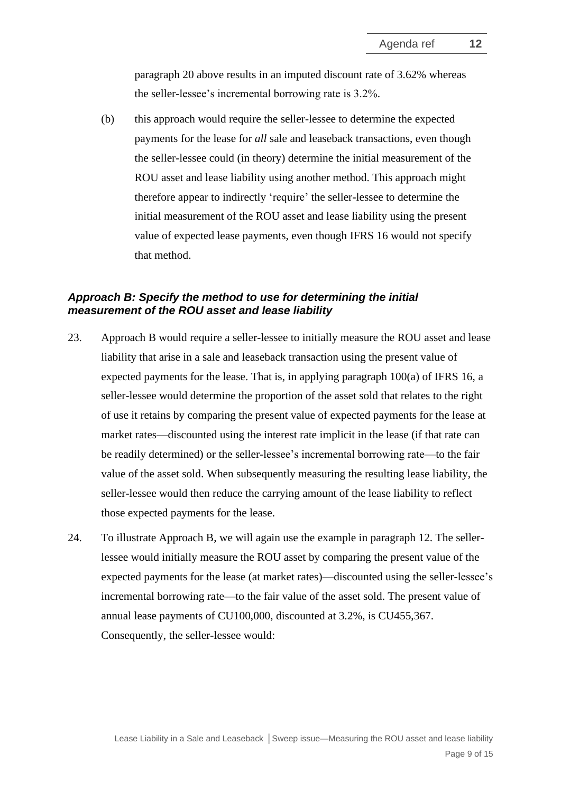paragraph [20](#page-7-1) above results in an imputed discount rate of 3.62% whereas the seller-lessee's incremental borrowing rate is 3.2%.

(b) this approach would require the seller-lessee to determine the expected payments for the lease for *all* sale and leaseback transactions, even though the seller-lessee could (in theory) determine the initial measurement of the ROU asset and lease liability using another method. This approach might therefore appear to indirectly 'require' the seller-lessee to determine the initial measurement of the ROU asset and lease liability using the present value of expected lease payments, even though IFRS 16 would not specify that method.

## *Approach B: Specify the method to use for determining the initial measurement of the ROU asset and lease liability*

- <span id="page-8-0"></span>23. Approach B would require a seller-lessee to initially measure the ROU asset and lease liability that arise in a sale and leaseback transaction using the present value of expected payments for the lease. That is, in applying paragraph  $100(a)$  of IFRS 16, a seller-lessee would determine the proportion of the asset sold that relates to the right of use it retains by comparing the present value of expected payments for the lease at market rates—discounted using the interest rate implicit in the lease (if that rate can be readily determined) or the seller-lessee's incremental borrowing rate—to the fair value of the asset sold. When subsequently measuring the resulting lease liability, the seller-lessee would then reduce the carrying amount of the lease liability to reflect those expected payments for the lease.
- 24. To illustrate Approach B, we will again use the example in paragraph [12.](#page-3-1) The sellerlessee would initially measure the ROU asset by comparing the present value of the expected payments for the lease (at market rates)—discounted using the seller-lessee's incremental borrowing rate—to the fair value of the asset sold. The present value of annual lease payments of CU100,000, discounted at 3.2%, is CU455,367. Consequently, the seller-lessee would: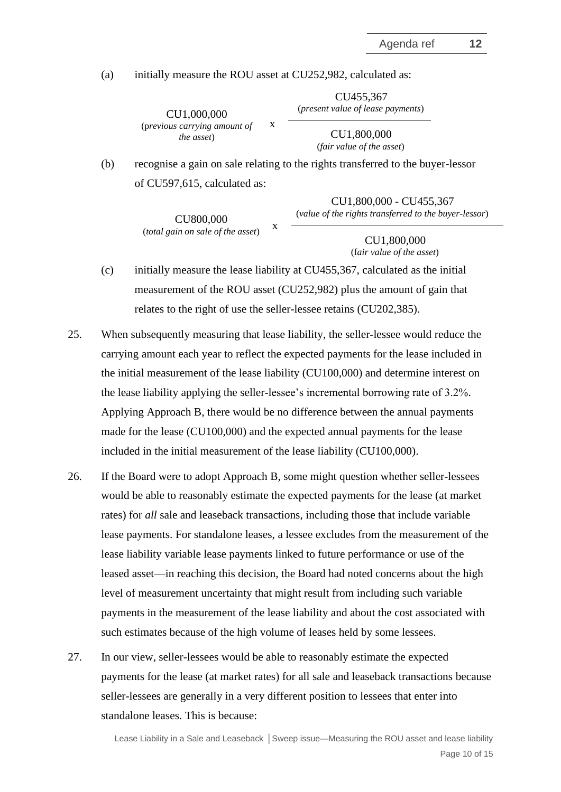(a) initially measure the ROU asset at CU252,982, calculated as:

CU1,000,000 (p*revious carrying amount of the asset*)

CU455,367 (*present value of lease payments*)

> CU1,800,000 (*fair value of the asset*)

(b) recognise a gain on sale relating to the rights transferred to the buyer-lessor of CU597,615, calculated as:

x

CU1,800,000 - CU455,367 (*value of the rights transferred to the buyer-lessor*)

CU800,000 (*total gain on sale of the asset*)

CU1,800,000 (f*air value of the asset*)

(c) initially measure the lease liability at CU455,367, calculated as the initial measurement of the ROU asset (CU252,982) plus the amount of gain that relates to the right of use the seller-lessee retains (CU202,385).

x

- 25. When subsequently measuring that lease liability, the seller-lessee would reduce the carrying amount each year to reflect the expected payments for the lease included in the initial measurement of the lease liability (CU100,000) and determine interest on the lease liability applying the seller-lessee's incremental borrowing rate of 3.2%. Applying Approach B, there would be no difference between the annual payments made for the lease (CU100,000) and the expected annual payments for the lease included in the initial measurement of the lease liability (CU100,000).
- 26. If the Board were to adopt Approach B, some might question whether seller-lessees would be able to reasonably estimate the expected payments for the lease (at market rates) for *all* sale and leaseback transactions, including those that include variable lease payments. For standalone leases, a lessee excludes from the measurement of the lease liability variable lease payments linked to future performance or use of the leased asset—in reaching this decision, the Board had noted concerns about the high level of measurement uncertainty that might result from including such variable payments in the measurement of the lease liability and about the cost associated with such estimates because of the high volume of leases held by some lessees.
- 27. In our view, seller-lessees would be able to reasonably estimate the expected payments for the lease (at market rates) for all sale and leaseback transactions because seller-lessees are generally in a very different position to lessees that enter into standalone leases. This is because: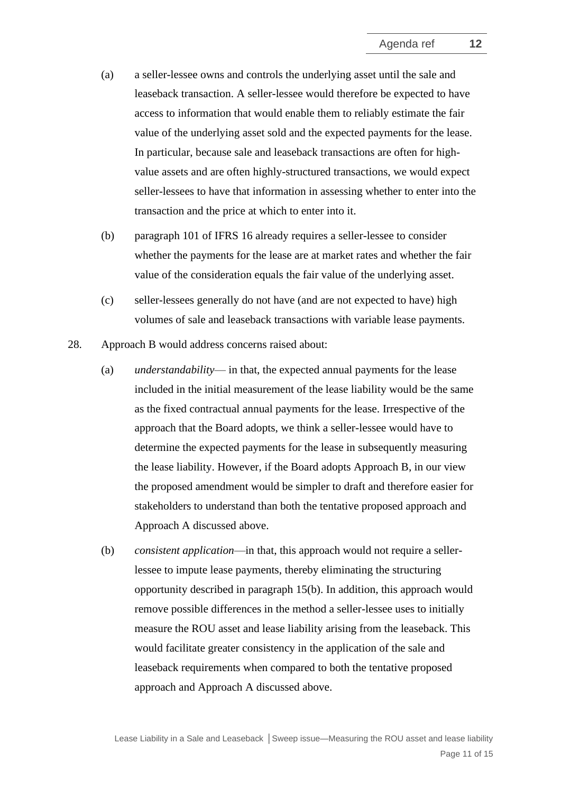- (a) a seller-lessee owns and controls the underlying asset until the sale and leaseback transaction. A seller-lessee would therefore be expected to have access to information that would enable them to reliably estimate the fair value of the underlying asset sold and the expected payments for the lease. In particular, because sale and leaseback transactions are often for highvalue assets and are often highly-structured transactions, we would expect seller-lessees to have that information in assessing whether to enter into the transaction and the price at which to enter into it.
- (b) paragraph 101 of IFRS 16 already requires a seller-lessee to consider whether the payments for the lease are at market rates and whether the fair value of the consideration equals the fair value of the underlying asset.
- (c) seller-lessees generally do not have (and are not expected to have) high volumes of sale and leaseback transactions with variable lease payments.
- 28. Approach B would address concerns raised about:
	- (a) *understandability* in that, the expected annual payments for the lease included in the initial measurement of the lease liability would be the same as the fixed contractual annual payments for the lease. Irrespective of the approach that the Board adopts, we think a seller-lessee would have to determine the expected payments for the lease in subsequently measuring the lease liability. However, if the Board adopts Approach B, in our view the proposed amendment would be simpler to draft and therefore easier for stakeholders to understand than both the tentative proposed approach and Approach A discussed above.
	- (b) *consistent application*—in that, this approach would not require a sellerlessee to impute lease payments, thereby eliminating the structuring opportunity described in paragraph [15\(b\).](#page-5-1) In addition, this approach would remove possible differences in the method a seller-lessee uses to initially measure the ROU asset and lease liability arising from the leaseback. This would facilitate greater consistency in the application of the sale and leaseback requirements when compared to both the tentative proposed approach and Approach A discussed above.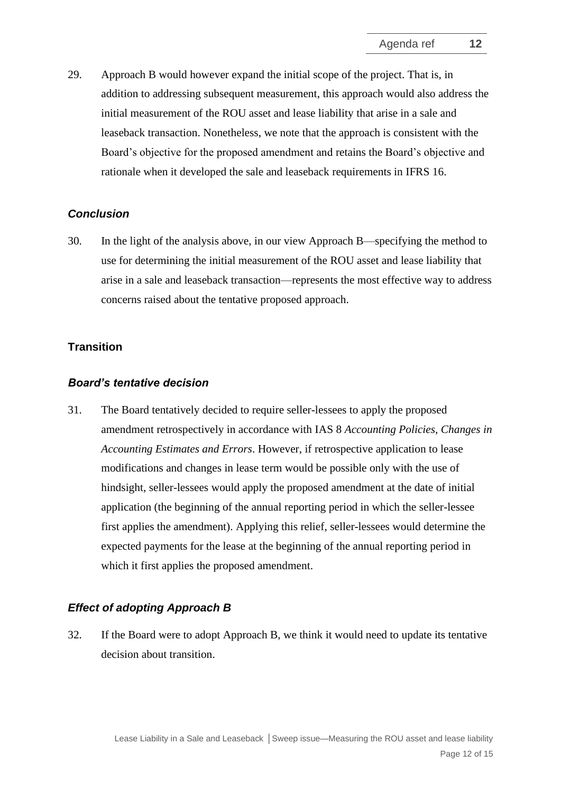<span id="page-11-2"></span>29. Approach B would however expand the initial scope of the project. That is, in addition to addressing subsequent measurement, this approach would also address the initial measurement of the ROU asset and lease liability that arise in a sale and leaseback transaction. Nonetheless, we note that the approach is consistent with the Board's objective for the proposed amendment and retains the Board's objective and rationale when it developed the sale and leaseback requirements in IFRS 16.

## *Conclusion*

<span id="page-11-0"></span>30. In the light of the analysis above, in our view Approach B—specifying the method to use for determining the initial measurement of the ROU asset and lease liability that arise in a sale and leaseback transaction—represents the most effective way to address concerns raised about the tentative proposed approach.

## **Transition**

## *Board's tentative decision*

<span id="page-11-1"></span>31. The Board tentatively decided to require seller-lessees to apply the proposed amendment retrospectively in accordance with IAS 8 *Accounting Policies, Changes in Accounting Estimates and Errors*. However, if retrospective application to lease modifications and changes in lease term would be possible only with the use of hindsight, seller-lessees would apply the proposed amendment at the date of initial application (the beginning of the annual reporting period in which the seller-lessee first applies the amendment). Applying this relief, seller-lessees would determine the expected payments for the lease at the beginning of the annual reporting period in which it first applies the proposed amendment.

## *Effect of adopting Approach B*

32. If the Board were to adopt Approach B, we think it would need to update its tentative decision about transition.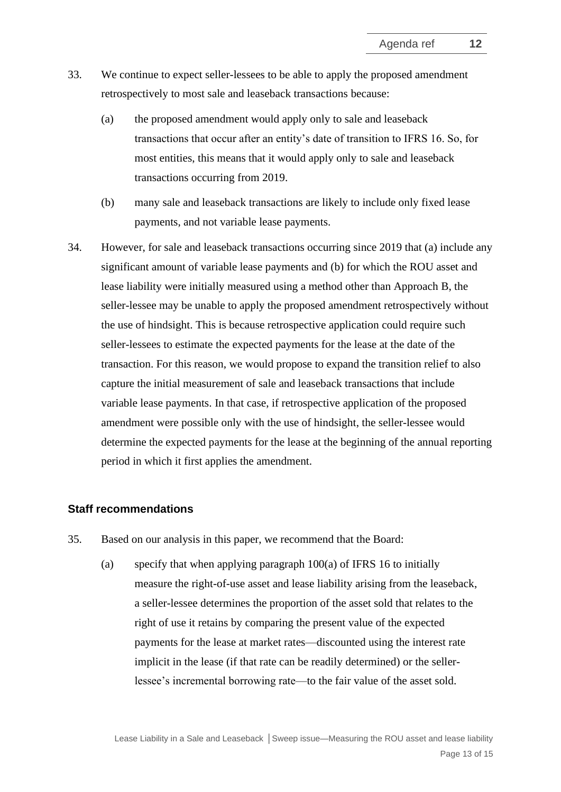- 33. We continue to expect seller-lessees to be able to apply the proposed amendment retrospectively to most sale and leaseback transactions because:
	- (a) the proposed amendment would apply only to sale and leaseback transactions that occur after an entity's date of transition to IFRS 16. So, for most entities, this means that it would apply only to sale and leaseback transactions occurring from 2019.
	- (b) many sale and leaseback transactions are likely to include only fixed lease payments, and not variable lease payments.
- <span id="page-12-0"></span>34. However, for sale and leaseback transactions occurring since 2019 that (a) include any significant amount of variable lease payments and (b) for which the ROU asset and lease liability were initially measured using a method other than Approach B, the seller-lessee may be unable to apply the proposed amendment retrospectively without the use of hindsight. This is because retrospective application could require such seller-lessees to estimate the expected payments for the lease at the date of the transaction. For this reason, we would propose to expand the transition relief to also capture the initial measurement of sale and leaseback transactions that include variable lease payments. In that case, if retrospective application of the proposed amendment were possible only with the use of hindsight, the seller-lessee would determine the expected payments for the lease at the beginning of the annual reporting period in which it first applies the amendment.

## **Staff recommendations**

- <span id="page-12-1"></span>35. Based on our analysis in this paper, we recommend that the Board:
	- (a) specify that when applying paragraph  $100(a)$  of IFRS 16 to initially measure the right-of-use asset and lease liability arising from the leaseback, a seller-lessee determines the proportion of the asset sold that relates to the right of use it retains by comparing the present value of the expected payments for the lease at market rates—discounted using the interest rate implicit in the lease (if that rate can be readily determined) or the sellerlessee's incremental borrowing rate—to the fair value of the asset sold.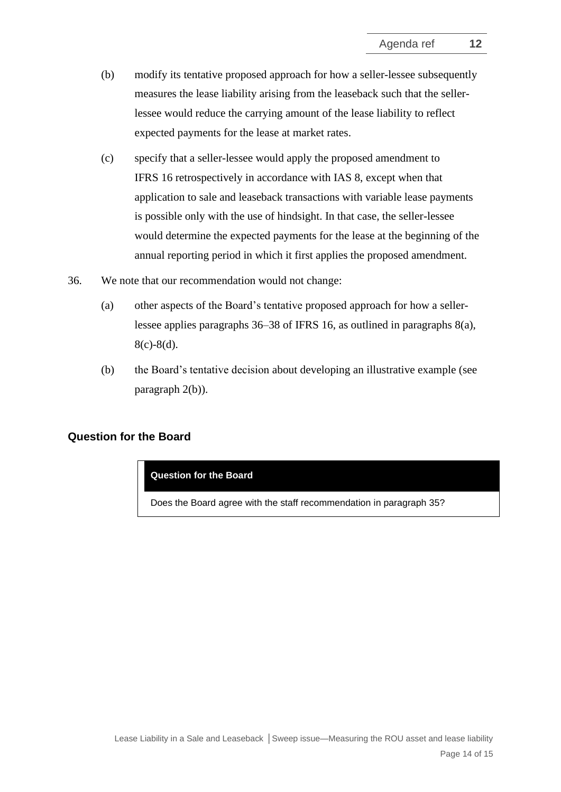- (b) modify its tentative proposed approach for how a seller-lessee subsequently measures the lease liability arising from the leaseback such that the sellerlessee would reduce the carrying amount of the lease liability to reflect expected payments for the lease at market rates.
- (c) specify that a seller-lessee would apply the proposed amendment to IFRS 16 retrospectively in accordance with IAS 8, except when that application to sale and leaseback transactions with variable lease payments is possible only with the use of hindsight. In that case, the seller-lessee would determine the expected payments for the lease at the beginning of the annual reporting period in which it first applies the proposed amendment.
- <span id="page-13-0"></span>36. We note that our recommendation would not change:
	- (a) other aspects of the Board's tentative proposed approach for how a sellerlessee applies paragraphs 36–38 of IFRS 16, as outlined in paragraphs [8\(a\),](#page-2-2) [8\(c\)](#page-2-3)[-8\(d\).](#page-2-4)
	- (b) the Board's tentative decision about developing an illustrative example (see paragraph [2\(b\)\)](#page-0-0).

## **Question for the Board**

**Question for the Board**

Does the Board agree with the staff recommendation in paragraph [35?](#page-12-1)